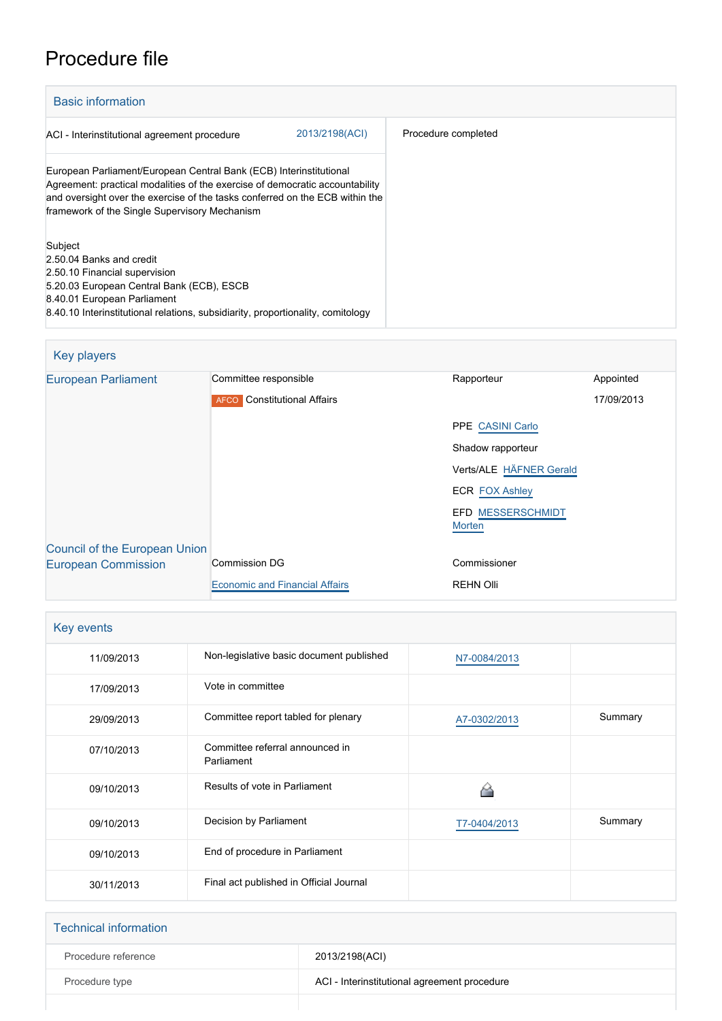## Procedure file

| <b>Basic information</b>                                                                                                                                                                                                                                                            |                     |  |  |  |
|-------------------------------------------------------------------------------------------------------------------------------------------------------------------------------------------------------------------------------------------------------------------------------------|---------------------|--|--|--|
| 2013/2198(ACI)<br>ACI - Interinstitutional agreement procedure                                                                                                                                                                                                                      | Procedure completed |  |  |  |
| European Parliament/European Central Bank (ECB) Interinstitutional<br>Agreement: practical modalities of the exercise of democratic accountability<br>and oversight over the exercise of the tasks conferred on the ECB within the<br>framework of the Single Supervisory Mechanism |                     |  |  |  |
| Subject<br>2.50.04 Banks and credit<br>2.50.10 Financial supervision<br>5.20.03 European Central Bank (ECB), ESCB<br>8.40.01 European Parliament<br>8.40.10 Interinstitutional relations, subsidiarity, proportionality, comitology                                                 |                     |  |  |  |

## Key players [European Parliament](http://www.europarl.europa.eu/) Committee responsible Rapporteur Rapporteur Appointed **AFCO** Constitutional Affairs PPE [CASINI Carlo](http://www.europarl.europa.eu/meps/en/988) Shadow rapporteur Verts/ALE [HÄFNER Gerald](http://www.europarl.europa.eu/meps/en/96758) ECR **[FOX Ashley](http://www.europarl.europa.eu/meps/en/96957)** EFD [MESSERSCHMIDT](http://www.europarl.europa.eu/meps/en/96663) [Morten](http://www.europarl.europa.eu/meps/en/96663)<sup>1</sup> 17/09/2013 [Council of the European Union](http://www.consilium.europa.eu) [European Commission](http://ec.europa.eu/) Commission DG [Economic and Financial Affairs](http://ec.europa.eu/info/departments/economic-and-financial-affairs_en) Commissioner REHN Olli

| Key events |                                               |              |         |  |
|------------|-----------------------------------------------|--------------|---------|--|
| 11/09/2013 | Non-legislative basic document published      | N7-0084/2013 |         |  |
| 17/09/2013 | Vote in committee                             |              |         |  |
| 29/09/2013 | Committee report tabled for plenary           | A7-0302/2013 | Summary |  |
| 07/10/2013 | Committee referral announced in<br>Parliament |              |         |  |
| 09/10/2013 | Results of vote in Parliament                 |              |         |  |
| 09/10/2013 | Decision by Parliament                        | T7-0404/2013 | Summary |  |
| 09/10/2013 | End of procedure in Parliament                |              |         |  |
| 30/11/2013 | Final act published in Official Journal       |              |         |  |

| <b>Technical information</b> |                                              |
|------------------------------|----------------------------------------------|
| Procedure reference          | 2013/2198(ACI)                               |
| Procedure type               | ACI - Interinstitutional agreement procedure |
|                              |                                              |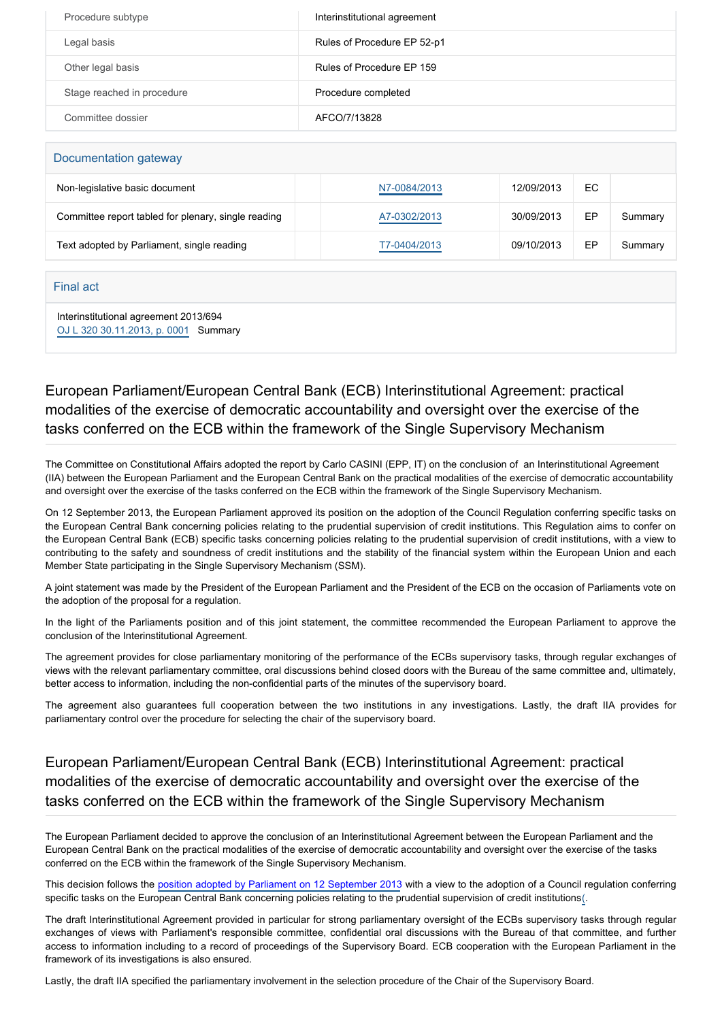| Procedure subtype          | Interinstitutional agreement |
|----------------------------|------------------------------|
| Legal basis                | Rules of Procedure EP 52-p1  |
| Other legal basis          | Rules of Procedure FP 159    |
| Stage reached in procedure | Procedure completed          |
| Committee dossier          | AFCO/7/13828                 |

| Documentation gateway                               |              |            |    |         |  |  |
|-----------------------------------------------------|--------------|------------|----|---------|--|--|
| Non-legislative basic document                      | N7-0084/2013 | 12/09/2013 | EC |         |  |  |
| Committee report tabled for plenary, single reading | A7-0302/2013 | 30/09/2013 | EP | Summary |  |  |
| Text adopted by Parliament, single reading          | T7-0404/2013 | 09/10/2013 | EP | Summary |  |  |

## Final act

Interinstitutional agreement 2013/694 [OJ L 320 30.11.2013, p. 0001](https://eur-lex.europa.eu/legal-content/EN/TXT/?uri=OJ:L:2013:320:TOC) Summary

## European Parliament/European Central Bank (ECB) Interinstitutional Agreement: practical modalities of the exercise of democratic accountability and oversight over the exercise of the tasks conferred on the ECB within the framework of the Single Supervisory Mechanism

The Committee on Constitutional Affairs adopted the report by Carlo CASINI (EPP, IT) on the conclusion of an Interinstitutional Agreement (IIA) between the European Parliament and the European Central Bank on the practical modalities of the exercise of democratic accountability and oversight over the exercise of the tasks conferred on the ECB within the framework of the Single Supervisory Mechanism.

On 12 September 2013, the European Parliament approved its position on the adoption of the Council Regulation conferring specific tasks on the European Central Bank concerning policies relating to the prudential supervision of credit institutions. This Regulation aims to confer on the European Central Bank (ECB) specific tasks concerning policies relating to the prudential supervision of credit institutions, with a view to contributing to the safety and soundness of credit institutions and the stability of the financial system within the European Union and each Member State participating in the Single Supervisory Mechanism (SSM).

A joint statement was made by the President of the European Parliament and the President of the ECB on the occasion of Parliaments vote on the adoption of the proposal for a regulation.

In the light of the Parliaments position and of this joint statement, the committee recommended the European Parliament to approve the conclusion of the Interinstitutional Agreement.

The agreement provides for close parliamentary monitoring of the performance of the ECBs supervisory tasks, through regular exchanges of views with the relevant parliamentary committee, oral discussions behind closed doors with the Bureau of the same committee and, ultimately, better access to information, including the non-confidential parts of the minutes of the supervisory board.

The agreement also guarantees full cooperation between the two institutions in any investigations. Lastly, the draft IIA provides for parliamentary control over the procedure for selecting the chair of the supervisory board.

European Parliament/European Central Bank (ECB) Interinstitutional Agreement: practical modalities of the exercise of democratic accountability and oversight over the exercise of the tasks conferred on the ECB within the framework of the Single Supervisory Mechanism

The European Parliament decided to approve the conclusion of an Interinstitutional Agreement between the European Parliament and the European Central Bank on the practical modalities of the exercise of democratic accountability and oversight over the exercise of the tasks conferred on the ECB within the framework of the Single Supervisory Mechanism.

This decision follows the [position adopted by Parliament on 12 September 2013](http://www.europarl.europa.eu/oeil/popups/ficheprocedure.do?reference=2012/0242(CNS)&l=en) with a view to the adoption of a Council regulation conferring specific tasks on the European Central Bank concerning policies relating to the prudential supervision of credit institutions[\(.](http://www.europarl.europa.eu/sides/getDoc.do?pubRef=-//EP//TEXT+TA+P7-TA-2013-0404+0+DOC+XML+V0//EN&language=EN#def_1_1)

The draft Interinstitutional Agreement provided in particular for strong parliamentary oversight of the ECBs supervisory tasks through regular exchanges of views with Parliament's responsible committee, confidential oral discussions with the Bureau of that committee, and further access to information including to a record of proceedings of the Supervisory Board. ECB cooperation with the European Parliament in the framework of its investigations is also ensured.

Lastly, the draft IIA specified the parliamentary involvement in the selection procedure of the Chair of the Supervisory Board.